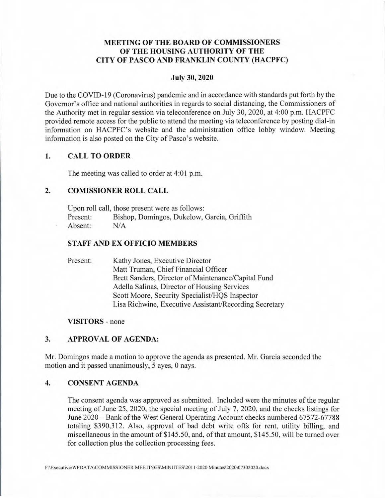# **MEETING OF THE BOARD OF COMMISSIONERS OF THE HOUSING AUTHORITY OF THE CITY OF PASCO AND FRANKLIN COUNTY (HACPFC)**

#### **July 30, 2020**

Due to the COVID-19 (Coronavirus) pandemic and in accordance with standards put forth by the Governor's office and national authorities in regards to social distancing, the Commissioners of the Authority met in regular session via teleconference on July 30, 2020, at 4:00 p.m. HACPFC provided remote access for the public to attend the meeting via teleconference by posting dial-in information on HACPFC's website and the administration office lobby window. Meeting information is also posted on the City of Pasco's website.

### **1. CALL TO ORDER**

The meeting was called to order at 4:01 p.m.

## **2. COMISSIONER ROLL CALL**

Upon roll call, those present were as follows: Present: Bishop, Domingos, Dukelow, Garcia, Griffith Absent: N/A

### **STAFF AND EX OFFICIO MEMBERS**

Present: Kathy Jones, Executive Director Matt Truman, Chief Financial Officer Brett Sanders, Director of Maintenance/Capital Fund Adella Salinas, Director of Housing Services Scott Moore, Security Specialist/HQS Inspector Lisa Richwine, Executive Assistant/Recording Secretary

#### **VISITORS** - none

### **3. APPROVAL OF AGENDA:**

Mr. Domingos made a motion to approve the agenda as presented. Mr. Garcia seconded the motion and it passed unanimously, *5* ayes, 0 nays.

#### 4. CONSENT **AGENDA**

The consent agenda was approved as submitted. Included were the minutes of the regular meeting of June *25,* 2020, the special meeting of July 7, 2020, and the checks listings for June 2020 - Bank of the West General Operating Account checks numbered 67572-67788 totaling \$390,312. Also, approval of bad debt write offs for rent, utility billing, and miscellaneous in the amount of \$145.50, and, of that amount, *\$145.50,* will be turned over for collection plus the collection processing fees.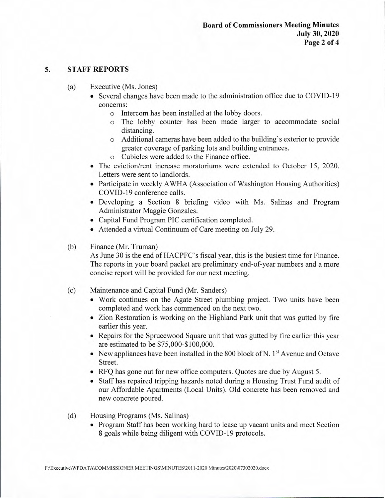### **5. STAFF REPORTS**

- (a) Executive (Ms. Jones)
	- Several changes have been made to the administration office due to COVID-19 concerns:
		- o Intercom has been installed at the lobby doors.
		- o The lobby counter has been made larger to accommodate social distancing.
		- o Additional cameras have been added to the building's exterior to provide greater coverage of parking lots and building entrances.
		- o Cubicles were added to the Finance office.
	- The eviction/rent increase moratoriums were extended to October 15, 2020. Letters were sent to landlords.
	- Participate in weekly AWHA (Association of Washington Housing Authorities) COVID-19 conference calls.
	- Developing a Section 8 briefing video with Ms. Salinas and Program Administrator Maggie Gonzales.
	- Capital Fund Program PlC certification completed.
	- Attended a virtual Continuum of Care meeting on July 29.
- (b) Finance (Mr. Truman)

As June 30 is the end of HACPFC's fiscal year, this is the busiest time for Finance. The reports in your board packet are preliminary end-of-year numbers and a more concise report will be provided for our next meeting.

- (c) Maintenance and Capital Fund (Mr. Sanders)
	- Work continues on the Agate Street plumbing project. Two units have been completed and work has commenced on the next two.
	- Zion Restoration is working on the Highland Park unit that was gutted by fire earlier this year.
	- Repairs for the Sprucewood Square unit that was gutted by fire earlier this year are estimated to be \$75,000-\$ 100,000.
	- New appliances have been installed in the 800 block of N.  $1<sup>st</sup>$  Avenue and Octave Street.
	- RFQ has gone out for new office computers. Quotes are due by August 5.
	- Staff has repaired tripping hazards noted during a Housing Trust Fund audit of our Affordable Apartments (Local Units). Old concrete has been removed and new concrete poured.
- (d) Housing Programs (Ms. Salinas)
	- Program Staff has been working hard to lease up vacant units and meet Section 8 goals while being diligent with COVID-19 protocols.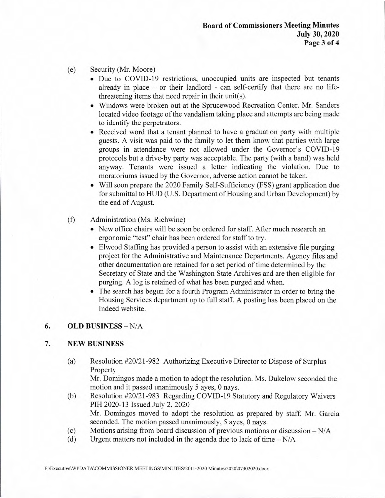- (e) Security (Mr. Moore)
	- Due to COVID-19 restrictions, unoccupied units are inspected but tenants already in place - or their landlord - can self-certify that there are no lifethreatening items that need repair in their unit(s).
	- Windows were broken out at the Sprucewood Recreation Center. Mr. Sanders located video footage of the vandalism taking place and attempts are being made to identify the perpetrators.
	- Received word that a tenant planned to have a graduation party with multiple guests. A visit was paid to the family to let them know that parties with large groups in attendance were not allowed under the Governor's COVID-19 protocols but a drive-by party was acceptable. The party (with a band) was held anyway. Tenants were issued a letter indicating the violation. Due to moratoriums issued by the Governor, adverse action cannot be taken.
	- Will soon prepare the 2020 Family Self-Sufficiency (FSS) grant application due for submittal to HUD (U.S. Department of Housing and Urban Development) by the end of August.
- (f) Administration (Ms. Richwine)
	- New office chairs will be soon be ordered for staff. After much research an ergonomic "test" chair has been ordered for staff to try.
	- Elwood Staffing has provided a person to assist with an extensive file purging project for the Administrative and Maintenance Departments. Agency files and other documentation are retained for a set period of time determined by the Secretary of State and the Washington State Archives and are then eligible for purging. A log is retained of what has been purged and when.
	- The search has begun for a fourth Program Administrator in order to bring the Housing Services department up to full staff. A posting has been placed on the Indeed website.

# **6. OLD BUSINESS** - N/A

# **7. NEW BUSINESS**

(a) Resolution #20/21-982 Authorizing Executive Director to Dispose of Surplus Property

Mr. Domingos made a motion to adopt the resolution. Ms. Dukelow seconded the motion and it passed unanimously *5* ayes, 0 nays.

- (b) Resolution #20/21-983 Regarding COVID-19 Statutory and Regulatory Waivers PIH 2020-13 Issued July 2, 2020 Mr. Domingos moved to adopt the resolution as prepared by staff. Mr. Garcia seconded. The motion passed unanimously, *5* ayes, 0 nays.
- (c) Motions arising from board discussion of previous motions or discussion  $-N/A$ <br>(d) Urgent matters not included in the agenda due to lack of time  $-N/A$
- Urgent matters not included in the agenda due to lack of time  $-N/A$